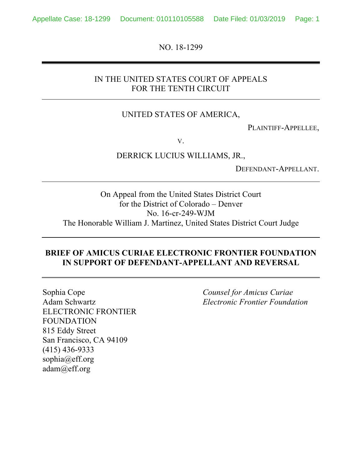NO. 18-1299

### IN THE UNITED STATES COURT OF APPEALS FOR THE TENTH CIRCUIT

### UNITED STATES OF AMERICA,

PLAINTIFF-APPELLEE,

V.

DERRICK LUCIUS WILLIAMS, JR.,

DEFENDANT-APPELLANT.

On Appeal from the United States District Court for the District of Colorado – Denver No. 16-cr-249-WJM The Honorable William J. Martinez, United States District Court Judge

#### **BRIEF OF AMICUS CURIAE ELECTRONIC FRONTIER FOUNDATION IN SUPPORT OF DEFENDANT-APPELLANT AND REVERSAL**

Sophia Cope Adam Schwartz ELECTRONIC FRONTIER FOUNDATION 815 Eddy Street San Francisco, CA 94109 (415) 436-9333 sophia@eff.org adam@eff.org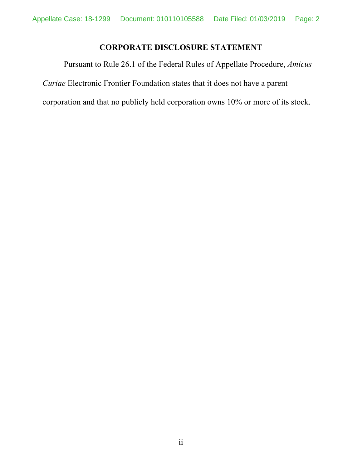# **CORPORATE DISCLOSURE STATEMENT**

Pursuant to Rule 26.1 of the Federal Rules of Appellate Procedure, *Amicus Curiae* Electronic Frontier Foundation states that it does not have a parent corporation and that no publicly held corporation owns 10% or more of its stock.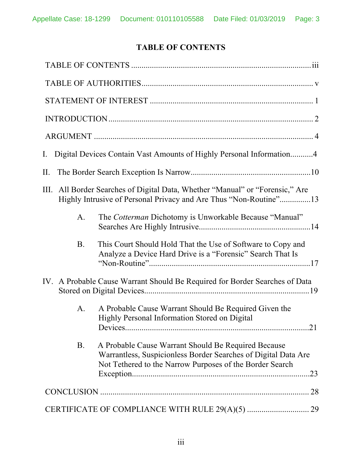# **TABLE OF CONTENTS**

| Digital Devices Contain Vast Amounts of Highly Personal Information4<br>$\rm I.$                                                                                                               |
|------------------------------------------------------------------------------------------------------------------------------------------------------------------------------------------------|
| $\prod$ .                                                                                                                                                                                      |
| All Border Searches of Digital Data, Whether "Manual" or "Forensic," Are<br>III.<br>Highly Intrusive of Personal Privacy and Are Thus "Non-Routine"13                                          |
| The Cotterman Dichotomy is Unworkable Because "Manual"<br>$\mathbf{A}$ .                                                                                                                       |
| <b>B.</b><br>This Court Should Hold That the Use of Software to Copy and<br>Analyze a Device Hard Drive is a "Forensic" Search That Is                                                         |
| IV. A Probable Cause Warrant Should Be Required for Border Searches of Data                                                                                                                    |
| A Probable Cause Warrant Should Be Required Given the<br>A.<br>Highly Personal Information Stored on Digital<br>21                                                                             |
| <b>B.</b><br>A Probable Cause Warrant Should Be Required Because<br>Warrantless, Suspicionless Border Searches of Digital Data Are<br>Not Tethered to the Narrow Purposes of the Border Search |
| 28                                                                                                                                                                                             |
|                                                                                                                                                                                                |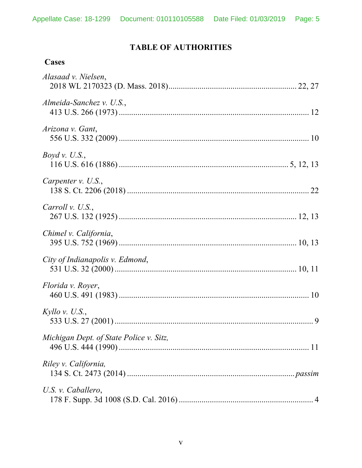# **TABLE OF AUTHORITIES**

| asc<br>71<br>٠ |
|----------------|
|----------------|

| Alasaad v. Nielsen,                     |  |
|-----------------------------------------|--|
| Almeida-Sanchez v. U.S.,                |  |
| Arizona v. Gant,                        |  |
| <i>Boyd v. U.S.</i> ,                   |  |
| Carpenter $v.$ U.S.,                    |  |
| Carroll v. U.S.,                        |  |
| Chimel v. California,                   |  |
| City of Indianapolis v. Edmond,         |  |
| Florida v. Royer,                       |  |
| Kyllo v. U.S.,                          |  |
| Michigan Dept. of State Police v. Sitz, |  |
| Riley v. California,                    |  |
| U.S. v. Caballero,                      |  |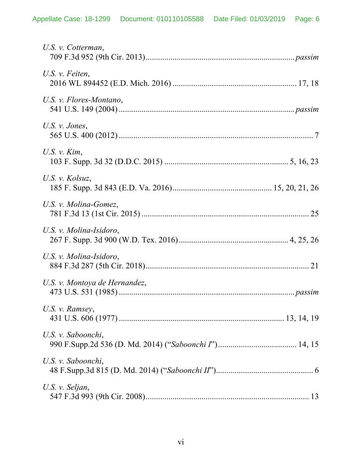| U.S. v. Cotterman,            |
|-------------------------------|
| U.S. $\nu$ . Feiten,          |
| U.S. v. Flores-Montano,       |
| U.S. $\nu$ . Jones,           |
| U.S. $v$ . $Kim$ ,            |
| U.S. v. Kolsuz,               |
| U.S. v. Molina-Gomez,         |
| U.S. v. Molina-Isidoro,       |
| U.S. v. Molina-Isidoro,       |
| U.S. v. Montoya de Hernandez, |
| U.S. v. Ramsey,               |
| U.S. v. Saboonchi,            |
| U.S. v. Saboonchi,            |
| U.S. v. Seljan,               |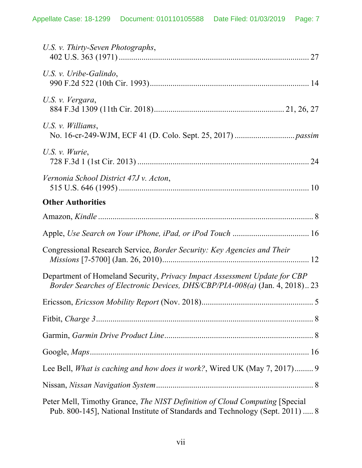| U.S. v. Thirty-Seven Photographs,                                                                                                                            |
|--------------------------------------------------------------------------------------------------------------------------------------------------------------|
| U.S. v. Uribe-Galindo,                                                                                                                                       |
| U.S. v. Vergara,                                                                                                                                             |
| U.S. v. Williams,                                                                                                                                            |
| U.S. $\nu$ . <i>Wurie</i> ,                                                                                                                                  |
| Vernonia School District 47J v. Acton,                                                                                                                       |
| <b>Other Authorities</b>                                                                                                                                     |
|                                                                                                                                                              |
|                                                                                                                                                              |
| Congressional Research Service, Border Security: Key Agencies and Their                                                                                      |
| Department of Homeland Security, Privacy Impact Assessment Update for CBP<br>Border Searches of Electronic Devices, DHS/CBP/PIA-008(a) (Jan. 4, 2018) 23     |
|                                                                                                                                                              |
|                                                                                                                                                              |
|                                                                                                                                                              |
|                                                                                                                                                              |
| Lee Bell, What is caching and how does it work?, Wired UK (May 7, 2017) 9                                                                                    |
|                                                                                                                                                              |
| Peter Mell, Timothy Grance, The NIST Definition of Cloud Computing [Special<br>Pub. 800-145], National Institute of Standards and Technology (Sept. 2011)  8 |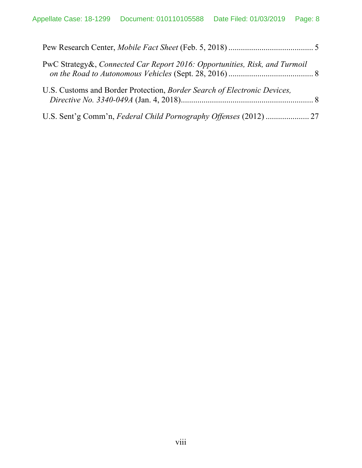| PwC Strategy&, Connected Car Report 2016: Opportunities, Risk, and Turmoil |  |
|----------------------------------------------------------------------------|--|
| U.S. Customs and Border Protection, Border Search of Electronic Devices,   |  |
|                                                                            |  |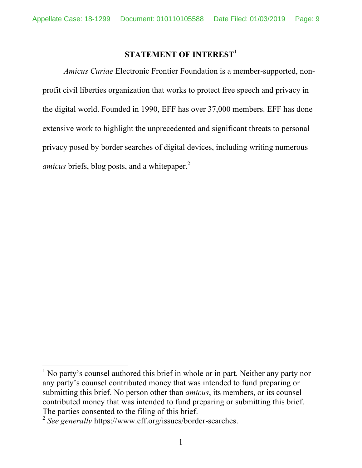### **STATEMENT OF INTEREST**<sup>1</sup>

*Amicus Curiae* Electronic Frontier Foundation is a member-supported, nonprofit civil liberties organization that works to protect free speech and privacy in the digital world. Founded in 1990, EFF has over 37,000 members. EFF has done extensive work to highlight the unprecedented and significant threats to personal privacy posed by border searches of digital devices, including writing numerous *amicus* briefs, blog posts, and a whitepaper.<sup>2</sup>

<sup>&</sup>lt;sup>1</sup> No party's counsel authored this brief in whole or in part. Neither any party nor any party's counsel contributed money that was intended to fund preparing or submitting this brief. No person other than *amicus*, its members, or its counsel contributed money that was intended to fund preparing or submitting this brief. The parties consented to the filing of this brief.

<sup>2</sup> *See generally* https://www.eff.org/issues/border-searches.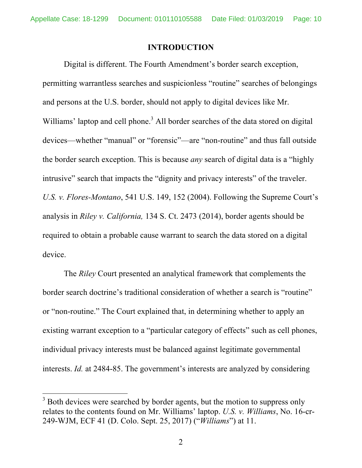#### **INTRODUCTION**

Digital is different. The Fourth Amendment's border search exception, permitting warrantless searches and suspicionless "routine" searches of belongings and persons at the U.S. border, should not apply to digital devices like Mr. Williams' laptop and cell phone.<sup>3</sup> All border searches of the data stored on digital devices—whether "manual" or "forensic"—are "non-routine" and thus fall outside the border search exception. This is because *any* search of digital data is a "highly intrusive" search that impacts the "dignity and privacy interests" of the traveler. *U.S. v. Flores-Montano*, 541 U.S. 149, 152 (2004). Following the Supreme Court's analysis in *Riley v. California,* 134 S. Ct. 2473 (2014), border agents should be required to obtain a probable cause warrant to search the data stored on a digital device.

The *Riley* Court presented an analytical framework that complements the border search doctrine's traditional consideration of whether a search is "routine" or "non-routine." The Court explained that, in determining whether to apply an existing warrant exception to a "particular category of effects" such as cell phones, individual privacy interests must be balanced against legitimate governmental interests. *Id.* at 2484-85. The government's interests are analyzed by considering

 $3$  Both devices were searched by border agents, but the motion to suppress only relates to the contents found on Mr. Williams' laptop. *U.S. v. Williams*, No. 16-cr-249-WJM, ECF 41 (D. Colo. Sept. 25, 2017) ("*Williams*") at 11.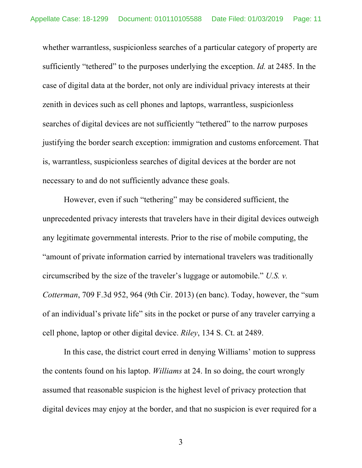whether warrantless, suspicionless searches of a particular category of property are sufficiently "tethered" to the purposes underlying the exception. *Id.* at 2485. In the case of digital data at the border, not only are individual privacy interests at their zenith in devices such as cell phones and laptops, warrantless, suspicionless searches of digital devices are not sufficiently "tethered" to the narrow purposes justifying the border search exception: immigration and customs enforcement. That is, warrantless, suspicionless searches of digital devices at the border are not necessary to and do not sufficiently advance these goals.

However, even if such "tethering" may be considered sufficient, the unprecedented privacy interests that travelers have in their digital devices outweigh any legitimate governmental interests. Prior to the rise of mobile computing, the "amount of private information carried by international travelers was traditionally circumscribed by the size of the traveler's luggage or automobile." *U.S. v. Cotterman*, 709 F.3d 952, 964 (9th Cir. 2013) (en banc). Today, however, the "sum of an individual's private life" sits in the pocket or purse of any traveler carrying a cell phone, laptop or other digital device. *Riley*, 134 S. Ct. at 2489.

In this case, the district court erred in denying Williams' motion to suppress the contents found on his laptop. *Williams* at 24. In so doing, the court wrongly assumed that reasonable suspicion is the highest level of privacy protection that digital devices may enjoy at the border, and that no suspicion is ever required for a

3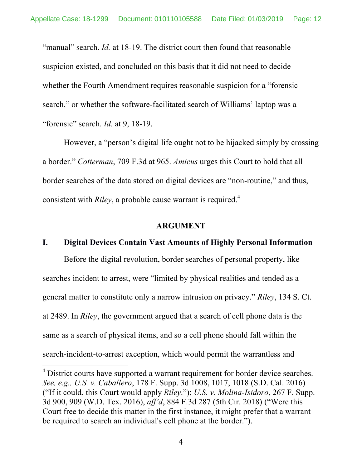"manual" search. *Id.* at 18-19. The district court then found that reasonable suspicion existed, and concluded on this basis that it did not need to decide whether the Fourth Amendment requires reasonable suspicion for a "forensic search," or whether the software-facilitated search of Williams' laptop was a "forensic" search. *Id.* at 9, 18-19.

However, a "person's digital life ought not to be hijacked simply by crossing a border." *Cotterman*, 709 F.3d at 965. *Amicus* urges this Court to hold that all border searches of the data stored on digital devices are "non-routine," and thus, consistent with *Riley*, a probable cause warrant is required.<sup>4</sup>

#### **ARGUMENT**

#### **I. Digital Devices Contain Vast Amounts of Highly Personal Information**

Before the digital revolution, border searches of personal property, like searches incident to arrest, were "limited by physical realities and tended as a general matter to constitute only a narrow intrusion on privacy." *Riley*, 134 S. Ct. at 2489. In *Riley*, the government argued that a search of cell phone data is the same as a search of physical items, and so a cell phone should fall within the search-incident-to-arrest exception, which would permit the warrantless and

<sup>&</sup>lt;sup>4</sup> District courts have supported a warrant requirement for border device searches. *See, e.g., U.S. v. Caballero*, 178 F. Supp. 3d 1008, 1017, 1018 (S.D. Cal. 2016) ("If it could, this Court would apply *Riley*."); *U.S. v. Molina-Isidoro*, 267 F. Supp. 3d 900, 909 (W.D. Tex. 2016), *aff'd*, 884 F.3d 287 (5th Cir. 2018) ("Were this Court free to decide this matter in the first instance, it might prefer that a warrant be required to search an individual's cell phone at the border.").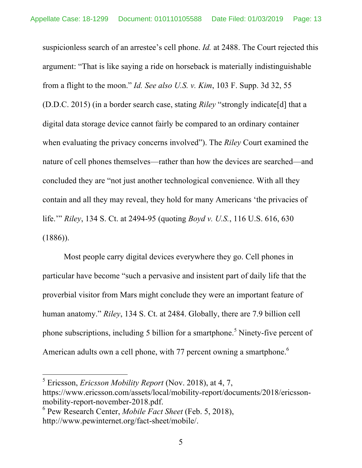suspicionless search of an arrestee's cell phone. *Id.* at 2488. The Court rejected this argument: "That is like saying a ride on horseback is materially indistinguishable from a flight to the moon." *Id. See also U.S. v. Kim*, 103 F. Supp. 3d 32, 55 (D.D.C. 2015) (in a border search case, stating *Riley* "strongly indicate[d] that a digital data storage device cannot fairly be compared to an ordinary container when evaluating the privacy concerns involved"). The *Riley* Court examined the nature of cell phones themselves—rather than how the devices are searched—and concluded they are "not just another technological convenience. With all they contain and all they may reveal, they hold for many Americans 'the privacies of life.'" *Riley*, 134 S. Ct. at 2494-95 (quoting *Boyd v. U.S.*, 116 U.S. 616, 630  $(1886)$ ).

Most people carry digital devices everywhere they go. Cell phones in particular have become "such a pervasive and insistent part of daily life that the proverbial visitor from Mars might conclude they were an important feature of human anatomy." *Riley*, 134 S. Ct. at 2484. Globally, there are 7.9 billion cell phone subscriptions, including 5 billion for a smartphone.<sup>5</sup> Ninety-five percent of American adults own a cell phone, with 77 percent owning a smartphone.<sup>6</sup>

 <sup>5</sup> Ericsson, *Ericsson Mobility Report* (Nov. 2018), at 4, 7,

https://www.ericsson.com/assets/local/mobility-report/documents/2018/ericssonmobility-report-november-2018.pdf.

<sup>6</sup> Pew Research Center, *Mobile Fact Sheet* (Feb. 5, 2018), http://www.pewinternet.org/fact-sheet/mobile/.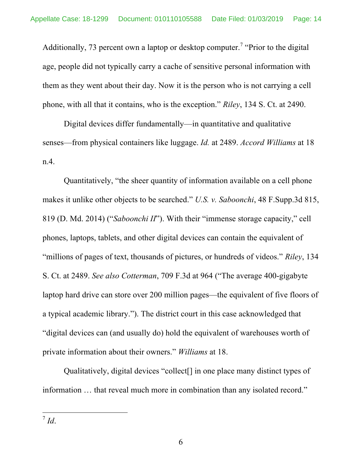Additionally, 73 percent own a laptop or desktop computer.<sup>7</sup> "Prior to the digital age, people did not typically carry a cache of sensitive personal information with them as they went about their day. Now it is the person who is not carrying a cell phone, with all that it contains, who is the exception." *Riley*, 134 S. Ct. at 2490.

Digital devices differ fundamentally—in quantitative and qualitative senses—from physical containers like luggage. *Id.* at 2489. *Accord Williams* at 18 n.4.

Quantitatively, "the sheer quantity of information available on a cell phone makes it unlike other objects to be searched." *U.S. v. Saboonchi*, 48 F.Supp.3d 815, 819 (D. Md. 2014) ("*Saboonchi II*"). With their "immense storage capacity," cell phones, laptops, tablets, and other digital devices can contain the equivalent of "millions of pages of text, thousands of pictures, or hundreds of videos." *Riley*, 134 S. Ct. at 2489. *See also Cotterman*, 709 F.3d at 964 ("The average 400-gigabyte laptop hard drive can store over 200 million pages—the equivalent of five floors of a typical academic library."). The district court in this case acknowledged that "digital devices can (and usually do) hold the equivalent of warehouses worth of private information about their owners." *Williams* at 18.

Qualitatively, digital devices "collect[] in one place many distinct types of information … that reveal much more in combination than any isolated record."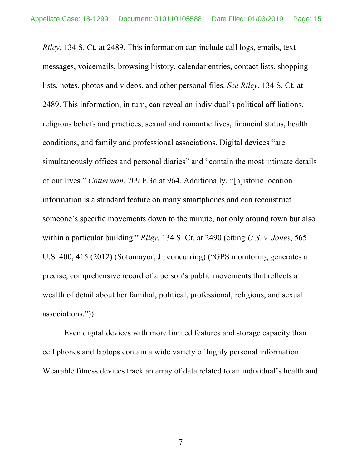*Riley*, 134 S. Ct. at 2489. This information can include call logs, emails, text messages, voicemails, browsing history, calendar entries, contact lists, shopping lists, notes, photos and videos, and other personal files. *See Riley*, 134 S. Ct. at 2489. This information, in turn, can reveal an individual's political affiliations, religious beliefs and practices, sexual and romantic lives, financial status, health conditions, and family and professional associations. Digital devices "are simultaneously offices and personal diaries" and "contain the most intimate details of our lives." *Cotterman*, 709 F.3d at 964. Additionally, "[h]istoric location information is a standard feature on many smartphones and can reconstruct someone's specific movements down to the minute, not only around town but also within a particular building." *Riley*, 134 S. Ct. at 2490 (citing *U.S. v. Jones*, 565 U.S. 400, 415 (2012) (Sotomayor, J., concurring) ("GPS monitoring generates a precise, comprehensive record of a person's public movements that reflects a wealth of detail about her familial, political, professional, religious, and sexual associations.")).

Even digital devices with more limited features and storage capacity than cell phones and laptops contain a wide variety of highly personal information. Wearable fitness devices track an array of data related to an individual's health and

7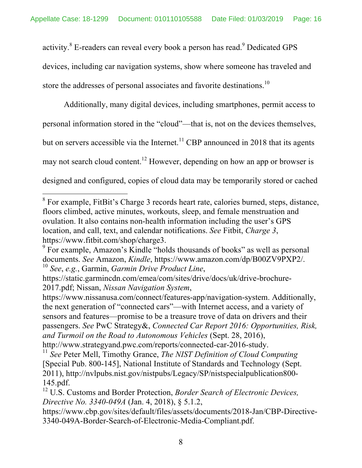activity.<sup>8</sup> E-readers can reveal every book a person has read.<sup>9</sup> Dedicated GPS devices, including car navigation systems, show where someone has traveled and store the addresses of personal associates and favorite destinations.<sup>10</sup>

Additionally, many digital devices, including smartphones, permit access to personal information stored in the "cloud"—that is, not on the devices themselves, but on servers accessible via the Internet.<sup>11</sup> CBP announced in 2018 that its agents may not search cloud content.<sup>12</sup> However, depending on how an app or browser is designed and configured, copies of cloud data may be temporarily stored or cached

https://www.nissanusa.com/connect/features-app/navigation-system. Additionally, the next generation of "connected cars"—with Internet access, and a variety of sensors and features—promise to be a treasure trove of data on drivers and their passengers. *See* PwC Strategy&, *Connected Car Report 2016: Opportunities, Risk, and Turmoil on the Road to Autonomous Vehicles* (Sept. 28, 2016), http://www.strategyand.pwc.com/reports/connected-car-2016-study.

<sup>&</sup>lt;sup>8</sup> For example, FitBit's Charge 3 records heart rate, calories burned, steps, distance, floors climbed, active minutes, workouts, sleep, and female menstruation and ovulation. It also contains non-health information including the user's GPS location, and call, text, and calendar notifications. *See* Fitbit, *Charge 3*, https://www.fitbit.com/shop/charge3.

<sup>9</sup> For example, Amazon's Kindle "holds thousands of books" as well as personal documents. *See* Amazon, *Kindle*, https://www.amazon.com/dp/B00ZV9PXP2/. <sup>10</sup> *See*, *e.g.*, Garmin, *Garmin Drive Product Line*,

https://static.garmincdn.com/emea/com/sites/drive/docs/uk/drive-brochure-2017.pdf; Nissan, *Nissan Navigation System*,

<sup>11</sup> *See* Peter Mell, Timothy Grance, *The NIST Definition of Cloud Computing* [Special Pub. 800-145], National Institute of Standards and Technology (Sept. 2011), http://nvlpubs.nist.gov/nistpubs/Legacy/SP/nistspecialpublication800- 145.pdf.

<sup>12</sup> U.S. Customs and Border Protection, *Border Search of Electronic Devices, Directive No. 3340-049A* (Jan. 4, 2018), § 5.1.2,

https://www.cbp.gov/sites/default/files/assets/documents/2018-Jan/CBP-Directive-3340-049A-Border-Search-of-Electronic-Media-Compliant.pdf.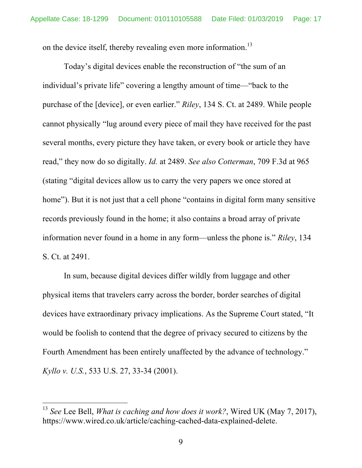on the device itself, thereby revealing even more information.<sup>13</sup>

Today's digital devices enable the reconstruction of "the sum of an individual's private life" covering a lengthy amount of time—"back to the purchase of the [device], or even earlier." *Riley*, 134 S. Ct. at 2489. While people cannot physically "lug around every piece of mail they have received for the past several months, every picture they have taken, or every book or article they have read," they now do so digitally. *Id.* at 2489. *See also Cotterman*, 709 F.3d at 965 (stating "digital devices allow us to carry the very papers we once stored at home"). But it is not just that a cell phone "contains in digital form many sensitive records previously found in the home; it also contains a broad array of private information never found in a home in any form—unless the phone is." *Riley*, 134 S. Ct. at 2491.

In sum, because digital devices differ wildly from luggage and other physical items that travelers carry across the border, border searches of digital devices have extraordinary privacy implications. As the Supreme Court stated, "It would be foolish to contend that the degree of privacy secured to citizens by the Fourth Amendment has been entirely unaffected by the advance of technology." *Kyllo v. U.S.*, 533 U.S. 27, 33-34 (2001).

 <sup>13</sup> *See* Lee Bell, *What is caching and how does it work?*, Wired UK (May 7, 2017), https://www.wired.co.uk/article/caching-cached-data-explained-delete.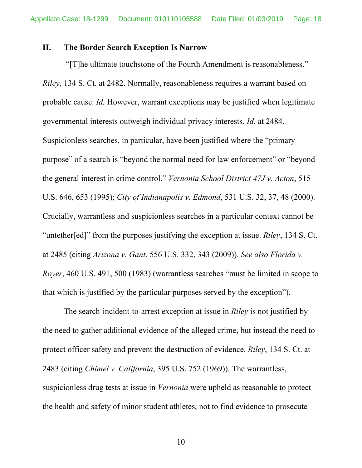#### **II. The Border Search Exception Is Narrow**

"[T]he ultimate touchstone of the Fourth Amendment is reasonableness." *Riley*, 134 S. Ct. at 2482. Normally, reasonableness requires a warrant based on probable cause. *Id.* However, warrant exceptions may be justified when legitimate governmental interests outweigh individual privacy interests. *Id.* at 2484. Suspicionless searches, in particular, have been justified where the "primary purpose" of a search is "beyond the normal need for law enforcement" or "beyond the general interest in crime control." *Vernonia School District 47J v. Acton*, 515 U.S. 646, 653 (1995); *City of Indianapolis v. Edmond*, 531 U.S. 32, 37, 48 (2000). Crucially, warrantless and suspicionless searches in a particular context cannot be "untether[ed]" from the purposes justifying the exception at issue. *Riley*, 134 S. Ct. at 2485 (citing *Arizona v. Gant*, 556 U.S. 332, 343 (2009)). *See also Florida v. Royer*, 460 U.S. 491, 500 (1983) (warrantless searches "must be limited in scope to that which is justified by the particular purposes served by the exception").

The search-incident-to-arrest exception at issue in *Riley* is not justified by the need to gather additional evidence of the alleged crime, but instead the need to protect officer safety and prevent the destruction of evidence. *Riley*, 134 S. Ct. at 2483 (citing *Chimel v. California*, 395 U.S. 752 (1969)). The warrantless, suspicionless drug tests at issue in *Vernonia* were upheld as reasonable to protect the health and safety of minor student athletes, not to find evidence to prosecute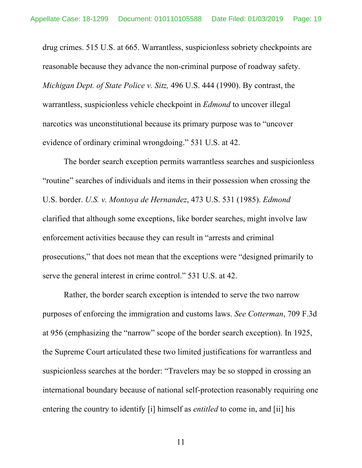drug crimes. 515 U.S. at 665. Warrantless, suspicionless sobriety checkpoints are reasonable because they advance the non-criminal purpose of roadway safety. *Michigan Dept. of State Police v. Sitz,* 496 U.S. 444 (1990). By contrast, the warrantless, suspicionless vehicle checkpoint in *Edmond* to uncover illegal narcotics was unconstitutional because its primary purpose was to "uncover evidence of ordinary criminal wrongdoing." 531 U.S. at 42.

The border search exception permits warrantless searches and suspicionless "routine" searches of individuals and items in their possession when crossing the U.S. border. *U.S. v. Montoya de Hernandez*, 473 U.S. 531 (1985). *Edmond* clarified that although some exceptions, like border searches, might involve law enforcement activities because they can result in "arrests and criminal prosecutions," that does not mean that the exceptions were "designed primarily to serve the general interest in crime control." 531 U.S. at 42.

Rather, the border search exception is intended to serve the two narrow purposes of enforcing the immigration and customs laws. *See Cotterman*, 709 F.3d at 956 (emphasizing the "narrow" scope of the border search exception). In 1925, the Supreme Court articulated these two limited justifications for warrantless and suspicionless searches at the border: "Travelers may be so stopped in crossing an international boundary because of national self-protection reasonably requiring one entering the country to identify [i] himself as *entitled* to come in, and [ii] his

11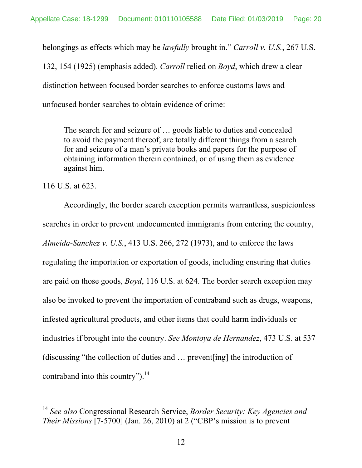belongings as effects which may be *lawfully* brought in." *Carroll v. U.S.*, 267 U.S.

132, 154 (1925) (emphasis added). *Carroll* relied on *Boyd*, which drew a clear distinction between focused border searches to enforce customs laws and unfocused border searches to obtain evidence of crime:

The search for and seizure of … goods liable to duties and concealed to avoid the payment thereof, are totally different things from a search for and seizure of a man's private books and papers for the purpose of obtaining information therein contained, or of using them as evidence against him.

116 U.S. at 623.

Accordingly, the border search exception permits warrantless, suspicionless searches in order to prevent undocumented immigrants from entering the country, *Almeida-Sanchez v. U.S.*, 413 U.S. 266, 272 (1973), and to enforce the laws regulating the importation or exportation of goods, including ensuring that duties are paid on those goods, *Boyd*, 116 U.S. at 624. The border search exception may also be invoked to prevent the importation of contraband such as drugs, weapons, infested agricultural products, and other items that could harm individuals or industries if brought into the country. *See Montoya de Hernandez*, 473 U.S. at 537 (discussing "the collection of duties and … prevent[ing] the introduction of contraband into this country").<sup>14</sup>

 <sup>14</sup> *See also* Congressional Research Service, *Border Security: Key Agencies and Their Missions* [7-5700] (Jan. 26, 2010) at 2 ("CBP's mission is to prevent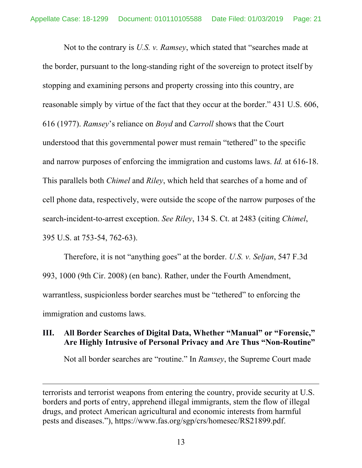Not to the contrary is *U.S. v. Ramsey*, which stated that "searches made at the border, pursuant to the long-standing right of the sovereign to protect itself by stopping and examining persons and property crossing into this country, are reasonable simply by virtue of the fact that they occur at the border." 431 U.S. 606, 616 (1977). *Ramsey*'s reliance on *Boyd* and *Carroll* shows that the Court understood that this governmental power must remain "tethered" to the specific and narrow purposes of enforcing the immigration and customs laws. *Id.* at 616-18. This parallels both *Chimel* and *Riley*, which held that searches of a home and of cell phone data, respectively, were outside the scope of the narrow purposes of the search-incident-to-arrest exception. *See Riley*, 134 S. Ct. at 2483 (citing *Chimel*, 395 U.S. at 753-54, 762-63).

Therefore, it is not "anything goes" at the border. *U.S. v. Seljan*, 547 F.3d 993, 1000 (9th Cir. 2008) (en banc). Rather, under the Fourth Amendment, warrantless, suspicionless border searches must be "tethered" to enforcing the immigration and customs laws.

### **III. All Border Searches of Digital Data, Whether "Manual" or "Forensic," Are Highly Intrusive of Personal Privacy and Are Thus "Non-Routine"**

Not all border searches are "routine." In *Ramsey*, the Supreme Court made

 $\overline{a}$ 

terrorists and terrorist weapons from entering the country, provide security at U.S. borders and ports of entry, apprehend illegal immigrants, stem the flow of illegal drugs, and protect American agricultural and economic interests from harmful pests and diseases."), https://www.fas.org/sgp/crs/homesec/RS21899.pdf.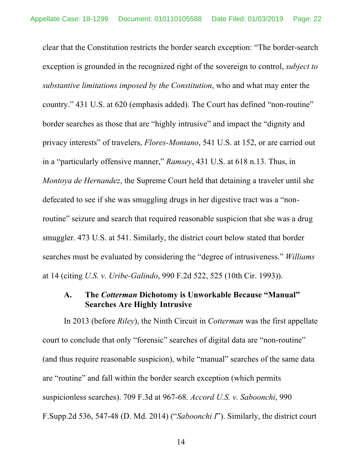clear that the Constitution restricts the border search exception: "The border-search exception is grounded in the recognized right of the sovereign to control, *subject to substantive limitations imposed by the Constitution*, who and what may enter the country." 431 U.S. at 620 (emphasis added). The Court has defined "non-routine" border searches as those that are "highly intrusive" and impact the "dignity and privacy interests" of travelers, *Flores-Montano*, 541 U.S. at 152, or are carried out in a "particularly offensive manner," *Ramsey*, 431 U.S. at 618 n.13. Thus, in *Montoya de Hernandez*, the Supreme Court held that detaining a traveler until she defecated to see if she was smuggling drugs in her digestive tract was a "nonroutine" seizure and search that required reasonable suspicion that she was a drug smuggler. 473 U.S. at 541. Similarly, the district court below stated that border searches must be evaluated by considering the "degree of intrusiveness." *Williams* at 14 (citing *U.S. v. Uribe-Galindo*, 990 F.2d 522, 525 (10th Cir. 1993)).

### **A. The** *Cotterman* **Dichotomy is Unworkable Because "Manual" Searches Are Highly Intrusive**

In 2013 (before *Riley*), the Ninth Circuit in *Cotterman* was the first appellate court to conclude that only "forensic" searches of digital data are "non-routine" (and thus require reasonable suspicion), while "manual" searches of the same data are "routine" and fall within the border search exception (which permits suspicionless searches). 709 F.3d at 967-68. *Accord U.S. v. Saboonchi*, 990 F.Supp.2d 536, 547-48 (D. Md. 2014) ("*Saboonchi I*"). Similarly, the district court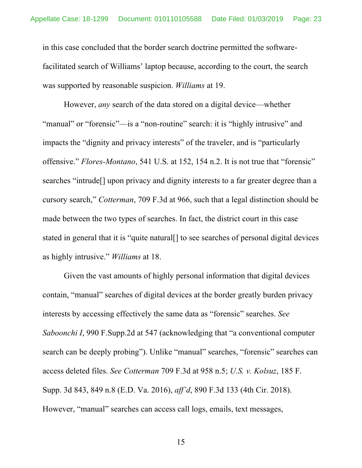in this case concluded that the border search doctrine permitted the softwarefacilitated search of Williams' laptop because, according to the court, the search was supported by reasonable suspicion. *Williams* at 19.

However, *any* search of the data stored on a digital device—whether "manual" or "forensic"—is a "non-routine" search: it is "highly intrusive" and impacts the "dignity and privacy interests" of the traveler, and is "particularly offensive." *Flores-Montano*, 541 U.S. at 152, 154 n.2. It is not true that "forensic" searches "intrude[] upon privacy and dignity interests to a far greater degree than a cursory search," *Cotterman*, 709 F.3d at 966, such that a legal distinction should be made between the two types of searches. In fact, the district court in this case stated in general that it is "quite natural[] to see searches of personal digital devices as highly intrusive." *Williams* at 18.

Given the vast amounts of highly personal information that digital devices contain, "manual" searches of digital devices at the border greatly burden privacy interests by accessing effectively the same data as "forensic" searches. *See Saboonchi I*, 990 F.Supp.2d at 547 (acknowledging that "a conventional computer search can be deeply probing"). Unlike "manual" searches, "forensic" searches can access deleted files. *See Cotterman* 709 F.3d at 958 n.5; *U.S. v. Kolsuz*, 185 F. Supp. 3d 843, 849 n.8 (E.D. Va. 2016), *aff'd*, 890 F.3d 133 (4th Cir. 2018). However, "manual" searches can access call logs, emails, text messages,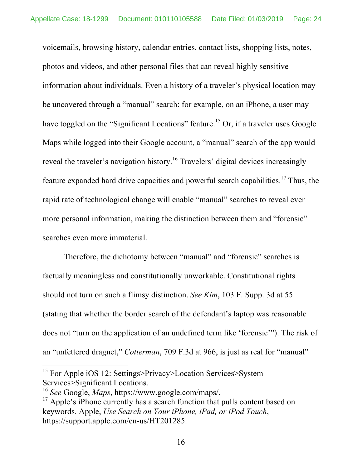voicemails, browsing history, calendar entries, contact lists, shopping lists, notes, photos and videos, and other personal files that can reveal highly sensitive information about individuals. Even a history of a traveler's physical location may be uncovered through a "manual" search: for example, on an iPhone, a user may have toggled on the "Significant Locations" feature.<sup>15</sup> Or, if a traveler uses Google Maps while logged into their Google account, a "manual" search of the app would reveal the traveler's navigation history.<sup>16</sup> Travelers' digital devices increasingly feature expanded hard drive capacities and powerful search capabilities.<sup>17</sup> Thus, the rapid rate of technological change will enable "manual" searches to reveal ever more personal information, making the distinction between them and "forensic" searches even more immaterial.

Therefore, the dichotomy between "manual" and "forensic" searches is factually meaningless and constitutionally unworkable. Constitutional rights should not turn on such a flimsy distinction. *See Kim*, 103 F. Supp. 3d at 55 (stating that whether the border search of the defendant's laptop was reasonable does not "turn on the application of an undefined term like 'forensic'"). The risk of an "unfettered dragnet," *Cotterman*, 709 F.3d at 966, is just as real for "manual"

<sup>&</sup>lt;sup>15</sup> For Apple iOS 12: Settings>Privacy>Location Services>System Services>Significant Locations.

<sup>16</sup> *See* Google, *Maps*, https://www.google.com/maps/.

<sup>&</sup>lt;sup>17</sup> Apple's iPhone currently has a search function that pulls content based on keywords. Apple, *Use Search on Your iPhone, iPad, or iPod Touch*, https://support.apple.com/en-us/HT201285.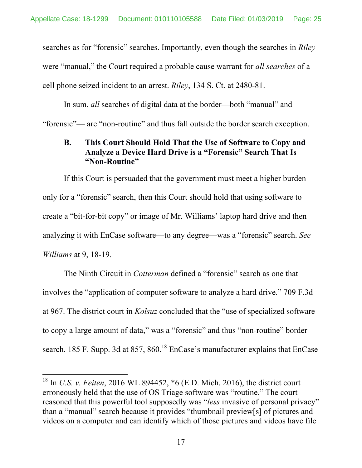searches as for "forensic" searches. Importantly, even though the searches in *Riley* were "manual," the Court required a probable cause warrant for *all searches* of a cell phone seized incident to an arrest. *Riley*, 134 S. Ct. at 2480-81.

In sum, *all* searches of digital data at the border—both "manual" and "forensic"— are "non-routine" and thus fall outside the border search exception.

#### **B. This Court Should Hold That the Use of Software to Copy and Analyze a Device Hard Drive is a "Forensic" Search That Is "Non-Routine"**

If this Court is persuaded that the government must meet a higher burden only for a "forensic" search, then this Court should hold that using software to create a "bit-for-bit copy" or image of Mr. Williams' laptop hard drive and then analyzing it with EnCase software—to any degree—was a "forensic" search. *See Williams* at 9, 18-19.

The Ninth Circuit in *Cotterman* defined a "forensic" search as one that involves the "application of computer software to analyze a hard drive." 709 F.3d at 967. The district court in *Kolsuz* concluded that the "use of specialized software to copy a large amount of data," was a "forensic" and thus "non-routine" border search. 185 F. Supp. 3d at 857,  $860<sup>18</sup>$  EnCase's manufacturer explains that EnCase

 <sup>18</sup> In *U.S. v. Feiten*, 2016 WL 894452, \*6 (E.D. Mich. 2016), the district court erroneously held that the use of OS Triage software was "routine." The court reasoned that this powerful tool supposedly was "*less* invasive of personal privacy" than a "manual" search because it provides "thumbnail preview[s] of pictures and videos on a computer and can identify which of those pictures and videos have file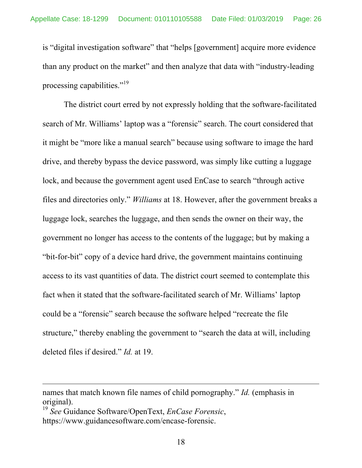is "digital investigation software" that "helps [government] acquire more evidence than any product on the market" and then analyze that data with "industry-leading processing capabilities."<sup>19</sup>

The district court erred by not expressly holding that the software-facilitated search of Mr. Williams' laptop was a "forensic" search. The court considered that it might be "more like a manual search" because using software to image the hard drive, and thereby bypass the device password, was simply like cutting a luggage lock, and because the government agent used EnCase to search "through active files and directories only." *Williams* at 18. However, after the government breaks a luggage lock, searches the luggage, and then sends the owner on their way, the government no longer has access to the contents of the luggage; but by making a "bit-for-bit" copy of a device hard drive, the government maintains continuing access to its vast quantities of data. The district court seemed to contemplate this fact when it stated that the software-facilitated search of Mr. Williams' laptop could be a "forensic" search because the software helped "recreate the file structure," thereby enabling the government to "search the data at will, including deleted files if desired." *Id.* at 19.

 $\overline{a}$ 

names that match known file names of child pornography." *Id.* (emphasis in original).

<sup>19</sup> *See* Guidance Software/OpenText, *EnCase Forensic*, https://www.guidancesoftware.com/encase-forensic.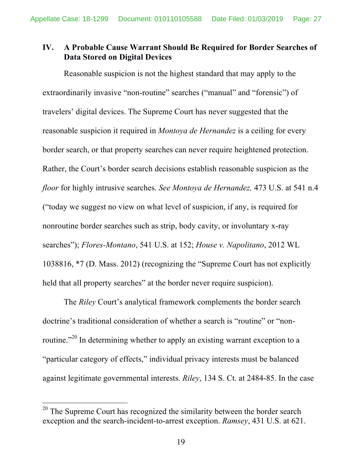### **IV. A Probable Cause Warrant Should Be Required for Border Searches of Data Stored on Digital Devices**

Reasonable suspicion is not the highest standard that may apply to the extraordinarily invasive "non-routine" searches ("manual" and "forensic") of travelers' digital devices. The Supreme Court has never suggested that the reasonable suspicion it required in *Montoya de Hernandez* is a ceiling for every border search, or that property searches can never require heightened protection. Rather, the Court's border search decisions establish reasonable suspicion as the *floor* for highly intrusive searches. *See Montoya de Hernandez,* 473 U.S. at 541 n.4 ("today we suggest no view on what level of suspicion, if any, is required for nonroutine border searches such as strip, body cavity, or involuntary x-ray searches"); *Flores-Montano*, 541 U.S. at 152; *House v. Napolitano*, 2012 WL 1038816, \*7 (D. Mass. 2012) (recognizing the "Supreme Court has not explicitly held that all property searches" at the border never require suspicion).

The *Riley* Court's analytical framework complements the border search doctrine's traditional consideration of whether a search is "routine" or "nonroutine."<sup>20</sup> In determining whether to apply an existing warrant exception to a "particular category of effects," individual privacy interests must be balanced against legitimate governmental interests. *Riley*, 134 S. Ct. at 2484-85. In the case

 $20$  The Supreme Court has recognized the similarity between the border search exception and the search-incident-to-arrest exception. *Ramsey*, 431 U.S. at 621.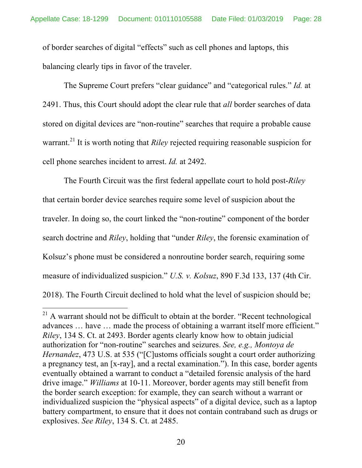of border searches of digital "effects" such as cell phones and laptops, this balancing clearly tips in favor of the traveler.

The Supreme Court prefers "clear guidance" and "categorical rules." *Id.* at 2491. Thus, this Court should adopt the clear rule that *all* border searches of data stored on digital devices are "non-routine" searches that require a probable cause warrant.<sup>21</sup> It is worth noting that *Riley* rejected requiring reasonable suspicion for cell phone searches incident to arrest. *Id.* at 2492.

The Fourth Circuit was the first federal appellate court to hold post-*Riley* that certain border device searches require some level of suspicion about the traveler. In doing so, the court linked the "non-routine" component of the border search doctrine and *Riley*, holding that "under *Riley*, the forensic examination of Kolsuz's phone must be considered a nonroutine border search, requiring some measure of individualized suspicion." *U.S. v. Kolsuz*, 890 F.3d 133, 137 (4th Cir. 2018). The Fourth Circuit declined to hold what the level of suspicion should be;

 $21$  A warrant should not be difficult to obtain at the border. "Recent technological advances … have … made the process of obtaining a warrant itself more efficient." *Riley*, 134 S. Ct. at 2493. Border agents clearly know how to obtain judicial authorization for "non-routine" searches and seizures. *See, e.g., Montoya de Hernandez*, 473 U.S. at 535 ("[C]ustoms officials sought a court order authorizing a pregnancy test, an [x-ray], and a rectal examination."). In this case, border agents eventually obtained a warrant to conduct a "detailed forensic analysis of the hard drive image." *Williams* at 10-11. Moreover, border agents may still benefit from the border search exception: for example, they can search without a warrant or individualized suspicion the "physical aspects" of a digital device, such as a laptop battery compartment, to ensure that it does not contain contraband such as drugs or explosives. *See Riley*, 134 S. Ct. at 2485.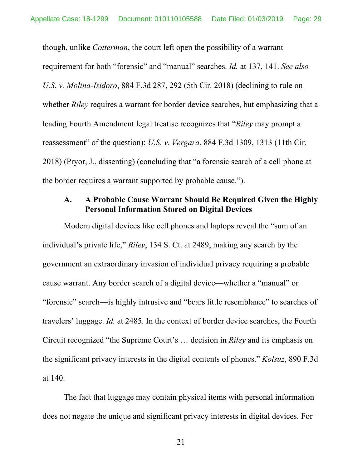though, unlike *Cotterman*, the court left open the possibility of a warrant requirement for both "forensic" and "manual" searches. *Id.* at 137, 141. *See also U.S. v. Molina-Isidoro*, 884 F.3d 287, 292 (5th Cir. 2018) (declining to rule on whether *Riley* requires a warrant for border device searches, but emphasizing that a leading Fourth Amendment legal treatise recognizes that "*Riley* may prompt a reassessment" of the question); *U.S. v. Vergara*, 884 F.3d 1309, 1313 (11th Cir. 2018) (Pryor, J., dissenting) (concluding that "a forensic search of a cell phone at the border requires a warrant supported by probable cause.").

### **A. A Probable Cause Warrant Should Be Required Given the Highly Personal Information Stored on Digital Devices**

Modern digital devices like cell phones and laptops reveal the "sum of an individual's private life," *Riley*, 134 S. Ct. at 2489, making any search by the government an extraordinary invasion of individual privacy requiring a probable cause warrant. Any border search of a digital device—whether a "manual" or "forensic" search—is highly intrusive and "bears little resemblance" to searches of travelers' luggage. *Id.* at 2485. In the context of border device searches, the Fourth Circuit recognized "the Supreme Court's … decision in *Riley* and its emphasis on the significant privacy interests in the digital contents of phones." *Kolsuz*, 890 F.3d at 140.

The fact that luggage may contain physical items with personal information does not negate the unique and significant privacy interests in digital devices. For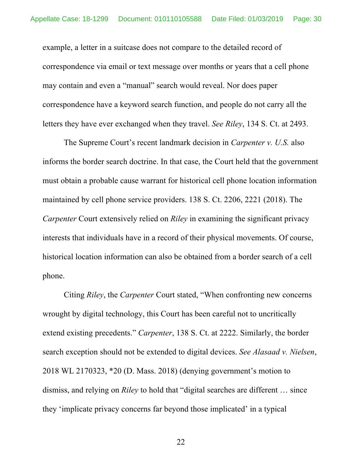example, a letter in a suitcase does not compare to the detailed record of correspondence via email or text message over months or years that a cell phone may contain and even a "manual" search would reveal. Nor does paper correspondence have a keyword search function, and people do not carry all the letters they have ever exchanged when they travel. *See Riley*, 134 S. Ct. at 2493.

The Supreme Court's recent landmark decision in *Carpenter v. U.S.* also informs the border search doctrine. In that case, the Court held that the government must obtain a probable cause warrant for historical cell phone location information maintained by cell phone service providers. 138 S. Ct. 2206, 2221 (2018). The *Carpenter* Court extensively relied on *Riley* in examining the significant privacy interests that individuals have in a record of their physical movements. Of course, historical location information can also be obtained from a border search of a cell phone.

Citing *Riley*, the *Carpenter* Court stated, "When confronting new concerns wrought by digital technology, this Court has been careful not to uncritically extend existing precedents." *Carpenter*, 138 S. Ct. at 2222. Similarly, the border search exception should not be extended to digital devices. *See Alasaad v. Nielsen*, 2018 WL 2170323, \*20 (D. Mass. 2018) (denying government's motion to dismiss, and relying on *Riley* to hold that "digital searches are different … since they 'implicate privacy concerns far beyond those implicated' in a typical

22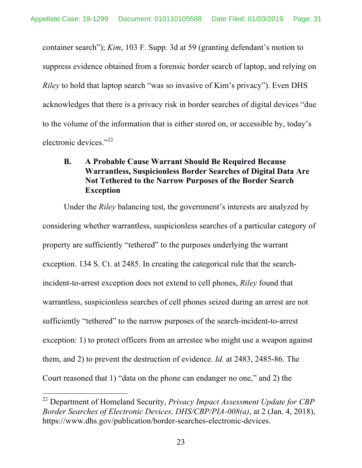container search"); *Kim*, 103 F. Supp. 3d at 59 (granting defendant's motion to suppress evidence obtained from a forensic border search of laptop, and relying on *Riley* to hold that laptop search "was so invasive of Kim's privacy"). Even DHS acknowledges that there is a privacy risk in border searches of digital devices "due to the volume of the information that is either stored on, or accessible by, today's electronic devices."<sup>22</sup>

### **B. A Probable Cause Warrant Should Be Required Because Warrantless, Suspicionless Border Searches of Digital Data Are Not Tethered to the Narrow Purposes of the Border Search Exception**

Under the *Riley* balancing test, the government's interests are analyzed by considering whether warrantless, suspicionless searches of a particular category of property are sufficiently "tethered" to the purposes underlying the warrant exception. 134 S. Ct. at 2485. In creating the categorical rule that the searchincident-to-arrest exception does not extend to cell phones, *Riley* found that warrantless, suspicionless searches of cell phones seized during an arrest are not sufficiently "tethered" to the narrow purposes of the search-incident-to-arrest exception: 1) to protect officers from an arrestee who might use a weapon against them, and 2) to prevent the destruction of evidence. *Id.* at 2483, 2485-86. The Court reasoned that 1) "data on the phone can endanger no one," and 2) the

 <sup>22</sup> Department of Homeland Security, *Privacy Impact Assessment Update for CBP Border Searches of Electronic Devices, DHS/CBP/PIA-008(a)*, at 2 (Jan. 4, 2018), https://www.dhs.gov/publication/border-searches-electronic-devices.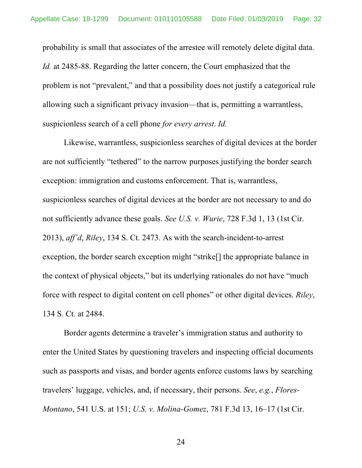probability is small that associates of the arrestee will remotely delete digital data. *Id.* at 2485-88. Regarding the latter concern, the Court emphasized that the problem is not "prevalent," and that a possibility does not justify a categorical rule allowing such a significant privacy invasion—that is, permitting a warrantless, suspicionless search of a cell phone *for every arrest*. *Id.*

Likewise, warrantless, suspicionless searches of digital devices at the border are not sufficiently "tethered" to the narrow purposes justifying the border search exception: immigration and customs enforcement. That is, warrantless, suspicionless searches of digital devices at the border are not necessary to and do not sufficiently advance these goals. *See U.S. v. Wurie*, 728 F.3d 1, 13 (1st Cir. 2013), *aff'd*, *Riley*, 134 S. Ct. 2473. As with the search-incident-to-arrest exception, the border search exception might "strike[] the appropriate balance in the context of physical objects," but its underlying rationales do not have "much force with respect to digital content on cell phones" or other digital devices. *Riley*, 134 S. Ct. at 2484.

Border agents determine a traveler's immigration status and authority to enter the United States by questioning travelers and inspecting official documents such as passports and visas, and border agents enforce customs laws by searching travelers' luggage, vehicles, and, if necessary, their persons. *See*, *e.g.*, *Flores-Montano*, 541 U.S. at 151; *U.S. v. Molina-Gomez*, 781 F.3d 13, 16–17 (1st Cir.

24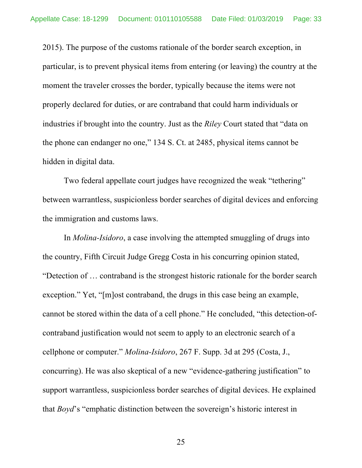2015). The purpose of the customs rationale of the border search exception, in particular, is to prevent physical items from entering (or leaving) the country at the moment the traveler crosses the border, typically because the items were not properly declared for duties, or are contraband that could harm individuals or industries if brought into the country. Just as the *Riley* Court stated that "data on the phone can endanger no one," 134 S. Ct. at 2485, physical items cannot be hidden in digital data.

Two federal appellate court judges have recognized the weak "tethering" between warrantless, suspicionless border searches of digital devices and enforcing the immigration and customs laws.

In *Molina-Isidoro*, a case involving the attempted smuggling of drugs into the country, Fifth Circuit Judge Gregg Costa in his concurring opinion stated, "Detection of … contraband is the strongest historic rationale for the border search exception." Yet, "[m]ost contraband, the drugs in this case being an example, cannot be stored within the data of a cell phone." He concluded, "this detection-ofcontraband justification would not seem to apply to an electronic search of a cellphone or computer." *Molina-Isidoro*, 267 F. Supp. 3d at 295 (Costa, J., concurring). He was also skeptical of a new "evidence-gathering justification" to support warrantless, suspicionless border searches of digital devices. He explained that *Boyd*'s "emphatic distinction between the sovereign's historic interest in

25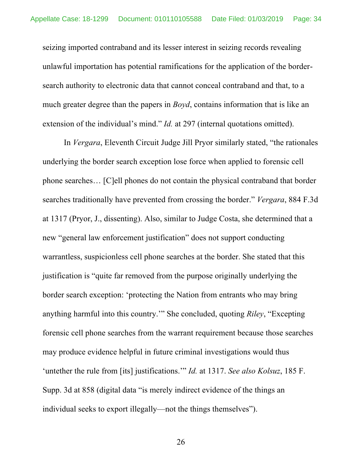seizing imported contraband and its lesser interest in seizing records revealing unlawful importation has potential ramifications for the application of the bordersearch authority to electronic data that cannot conceal contraband and that, to a much greater degree than the papers in *Boyd*, contains information that is like an extension of the individual's mind." *Id.* at 297 (internal quotations omitted).

In *Vergara*, Eleventh Circuit Judge Jill Pryor similarly stated, "the rationales underlying the border search exception lose force when applied to forensic cell phone searches… [C]ell phones do not contain the physical contraband that border searches traditionally have prevented from crossing the border." *Vergara*, 884 F.3d at 1317 (Pryor, J., dissenting). Also, similar to Judge Costa, she determined that a new "general law enforcement justification" does not support conducting warrantless, suspicionless cell phone searches at the border. She stated that this justification is "quite far removed from the purpose originally underlying the border search exception: 'protecting the Nation from entrants who may bring anything harmful into this country.'" She concluded, quoting *Riley*, "Excepting forensic cell phone searches from the warrant requirement because those searches may produce evidence helpful in future criminal investigations would thus 'untether the rule from [its] justifications.'" *Id.* at 1317. *See also Kolsuz*, 185 F. Supp. 3d at 858 (digital data "is merely indirect evidence of the things an individual seeks to export illegally—not the things themselves").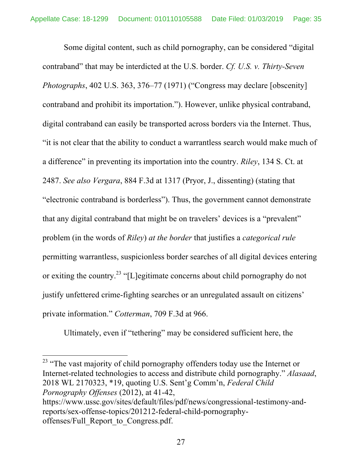Some digital content, such as child pornography, can be considered "digital contraband" that may be interdicted at the U.S. border. *Cf. U.S. v. Thirty-Seven Photographs*, 402 U.S. 363, 376–77 (1971) ("Congress may declare [obscenity] contraband and prohibit its importation."). However, unlike physical contraband, digital contraband can easily be transported across borders via the Internet. Thus, "it is not clear that the ability to conduct a warrantless search would make much of a difference" in preventing its importation into the country. *Riley*, 134 S. Ct. at 2487. *See also Vergara*, 884 F.3d at 1317 (Pryor, J., dissenting) (stating that "electronic contraband is borderless"). Thus, the government cannot demonstrate that any digital contraband that might be on travelers' devices is a "prevalent" problem (in the words of *Riley*) *at the border* that justifies a *categorical rule* permitting warrantless, suspicionless border searches of all digital devices entering or exiting the country.<sup>23</sup> "[L]egitimate concerns about child pornography do not justify unfettered crime-fighting searches or an unregulated assault on citizens' private information." *Cotterman*, 709 F.3d at 966.

Ultimately, even if "tethering" may be considered sufficient here, the

<sup>23</sup> "The vast majority of child pornography offenders today use the Internet or Internet-related technologies to access and distribute child pornography." *Alasaad*, 2018 WL 2170323, \*19, quoting U.S. Sent'g Comm'n, *Federal Child Pornography Offenses* (2012), at 41-42,

https://www.ussc.gov/sites/default/files/pdf/news/congressional-testimony-andreports/sex-offense-topics/201212-federal-child-pornographyoffenses/Full\_Report\_to\_Congress.pdf.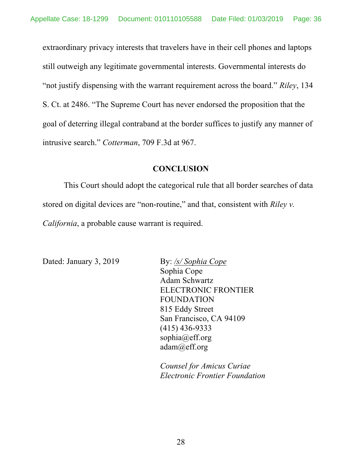extraordinary privacy interests that travelers have in their cell phones and laptops still outweigh any legitimate governmental interests. Governmental interests do "not justify dispensing with the warrant requirement across the board." *Riley*, 134 S. Ct. at 2486. "The Supreme Court has never endorsed the proposition that the goal of deterring illegal contraband at the border suffices to justify any manner of intrusive search." *Cotterman*, 709 F.3d at 967.

#### **CONCLUSION**

This Court should adopt the categorical rule that all border searches of data stored on digital devices are "non-routine," and that, consistent with *Riley v. California*, a probable cause warrant is required.

Dated: January 3, 2019 By: */s/ Sophia Cope* 

Sophia Cope Adam Schwartz ELECTRONIC FRONTIER FOUNDATION 815 Eddy Street San Francisco, CA 94109 (415) 436-9333 sophia@eff.org adam@eff.org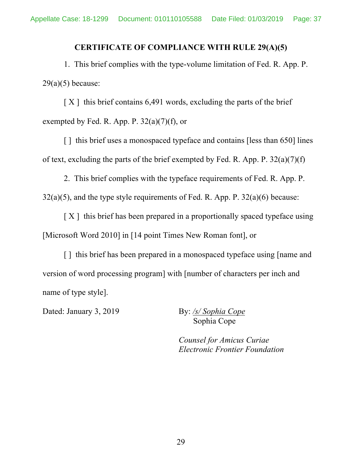#### **CERTIFICATE OF COMPLIANCE WITH RULE 29(A)(5)**

1. This brief complies with the type-volume limitation of Fed. R. App. P.  $29(a)(5)$  because:

 $[X]$  this brief contains 6,491 words, excluding the parts of the brief exempted by Fed. R. App. P.  $32(a)(7)(f)$ , or

[] this brief uses a monospaced typeface and contains [less than 650] lines of text, excluding the parts of the brief exempted by Fed. R. App. P. 32(a)(7)(f)

2. This brief complies with the typeface requirements of Fed. R. App. P.  $32(a)(5)$ , and the type style requirements of Fed. R. App. P.  $32(a)(6)$  because:

 $[X]$  this brief has been prepared in a proportionally spaced typeface using [Microsoft Word 2010] in [14 point Times New Roman font], or

[] this brief has been prepared in a monospaced typeface using [name and version of word processing program] with [number of characters per inch and name of type style].

Dated: January 3, 2019 By: /s/ Sophia Cope

Sophia Cope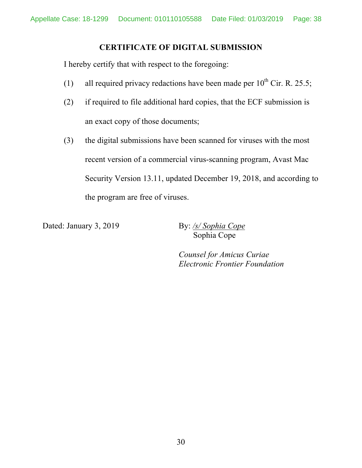### **CERTIFICATE OF DIGITAL SUBMISSION**

I hereby certify that with respect to the foregoing:

- (1) all required privacy redactions have been made per  $10^{th}$  Cir. R. 25.5;
- (2) if required to file additional hard copies, that the ECF submission is an exact copy of those documents;
- (3) the digital submissions have been scanned for viruses with the most recent version of a commercial virus-scanning program, Avast Mac Security Version 13.11, updated December 19, 2018, and according to the program are free of viruses.

Dated: January 3, 2019 By: /s/ Sophia Cope

Sophia Cope